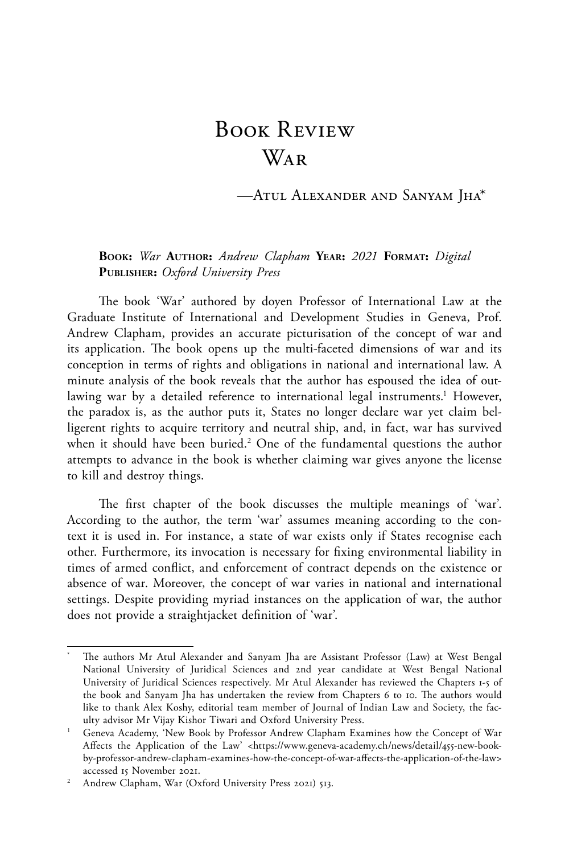## Book Review War

—Atul Alexander and Sanyam Jha\*

## **Book:** *War* **Author:** *Andrew Clapham* **Year:** *2021* **Format:** *Digital* **Publisher:** *Oxford University Press*

The book 'War' authored by doyen Professor of International Law at the Graduate Institute of International and Development Studies in Geneva, Prof. Andrew Clapham, provides an accurate picturisation of the concept of war and its application. The book opens up the multi-faceted dimensions of war and its conception in terms of rights and obligations in national and international law. A minute analysis of the book reveals that the author has espoused the idea of outlawing war by a detailed reference to international legal instruments.<sup>1</sup> However, the paradox is, as the author puts it, States no longer declare war yet claim belligerent rights to acquire territory and neutral ship, and, in fact, war has survived when it should have been buried.<sup>2</sup> One of the fundamental questions the author attempts to advance in the book is whether claiming war gives anyone the license to kill and destroy things.

The first chapter of the book discusses the multiple meanings of 'war'. According to the author, the term 'war' assumes meaning according to the context it is used in. For instance, a state of war exists only if States recognise each other. Furthermore, its invocation is necessary for fixing environmental liability in times of armed conflict, and enforcement of contract depends on the existence or absence of war. Moreover, the concept of war varies in national and international settings. Despite providing myriad instances on the application of war, the author does not provide a straightjacket definition of 'war'.

<sup>\*</sup> The authors Mr Atul Alexander and Sanyam Jha are Assistant Professor (Law) at West Bengal National University of Juridical Sciences and 2nd year candidate at West Bengal National University of Juridical Sciences respectively. Mr Atul Alexander has reviewed the Chapters 1-5 of the book and Sanyam Jha has undertaken the review from Chapters 6 to 10. The authors would like to thank Alex Koshy, editorial team member of Journal of Indian Law and Society, the faculty advisor Mr Vijay Kishor Tiwari and Oxford University Press.

<sup>&</sup>lt;sup>1</sup> Geneva Academy, 'New Book by Professor Andrew Clapham Examines how the Concept of War Affects the Application of the Law' <https://www.geneva-academy.ch/news/detail/455-new-bookby-professor-andrew-clapham-examines-how-the-concept-of-war-affects-the-application-of-the-law> accessed 15 November 2021.

<sup>&</sup>lt;sup>2</sup> Andrew Clapham, War (Oxford University Press 2021) 513.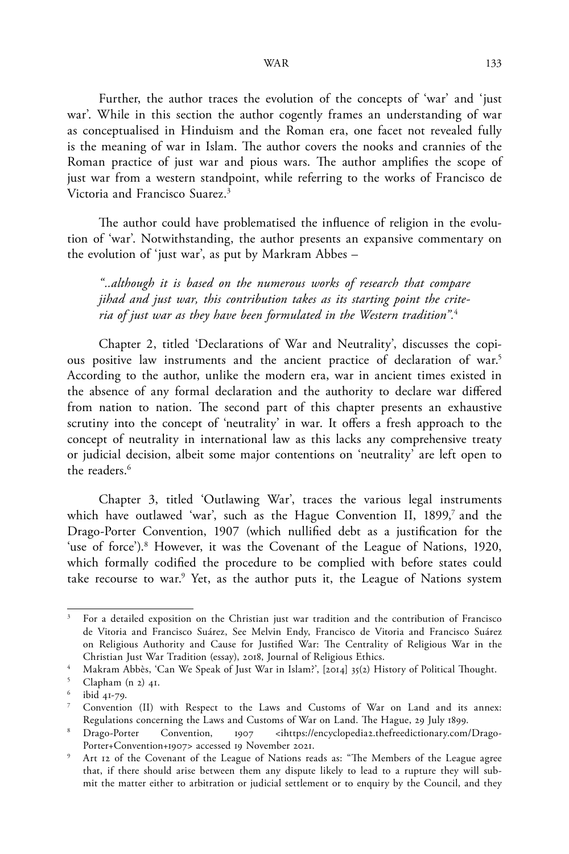Further, the author traces the evolution of the concepts of 'war' and 'just war'. While in this section the author cogently frames an understanding of war as conceptualised in Hinduism and the Roman era, one facet not revealed fully is the meaning of war in Islam. The author covers the nooks and crannies of the Roman practice of just war and pious wars. The author amplifies the scope of just war from a western standpoint, while referring to the works of Francisco de Victoria and Francisco Suarez.3

The author could have problematised the influence of religion in the evolution of 'war'. Notwithstanding, the author presents an expansive commentary on the evolution of 'just war', as put by Markram Abbes –

*"..although it is based on the numerous works of research that compare jihad and just war, this contribution takes as its starting point the criteria of just war as they have been formulated in the Western tradition".*<sup>4</sup>

Chapter 2, titled 'Declarations of War and Neutrality', discusses the copious positive law instruments and the ancient practice of declaration of war.5 According to the author, unlike the modern era, war in ancient times existed in the absence of any formal declaration and the authority to declare war differed from nation to nation. The second part of this chapter presents an exhaustive scrutiny into the concept of 'neutrality' in war. It offers a fresh approach to the concept of neutrality in international law as this lacks any comprehensive treaty or judicial decision, albeit some major contentions on 'neutrality' are left open to the readers.<sup>6</sup>

Chapter 3, titled 'Outlawing War', traces the various legal instruments which have outlawed 'war', such as the Hague Convention II,  $1899$ ,<sup>7</sup> and the Drago-Porter Convention, 1907 (which nullified debt as a justification for the 'use of force').<sup>8</sup> However, it was the Covenant of the League of Nations, 1920, which formally codified the procedure to be complied with before states could take recourse to war.<sup>9</sup> Yet, as the author puts it, the League of Nations system

<sup>3</sup> For a detailed exposition on the Christian just war tradition and the contribution of Francisco de Vitoria and Francisco Suárez, See Melvin Endy, Francisco de Vitoria and Francisco Suárez on Religious Authority and Cause for Justified War: The Centrality of Religious War in the Christian Just War Tradition (essay), 2018, Journal of Religious Ethics.

<sup>4</sup> Makram Abbès, 'Can We Speak of Just War in Islam?', [2014] 35(2) History of Political Thought.

<sup>5</sup> Clapham (n 2) 41.

<sup>6</sup> ibid 41-79.

<sup>7</sup> Convention (II) with Respect to the Laws and Customs of War on Land and its annex: Regulations concerning the Laws and Customs of War on Land. The Hague, 29 July 1899.<br><sup>8</sup> Drago-Porter Convention, 1907 <ihttps://encyclopedia2.thefreedictionary.com/

Convention, 1907 <ihttps://encyclopedia2.thefreedictionary.com/Drago-Porter+Convention+1907> accessed 19 November 2021.

Art 12 of the Covenant of the League of Nations reads as: "The Members of the League agree that, if there should arise between them any dispute likely to lead to a rupture they will submit the matter either to arbitration or judicial settlement or to enquiry by the Council, and they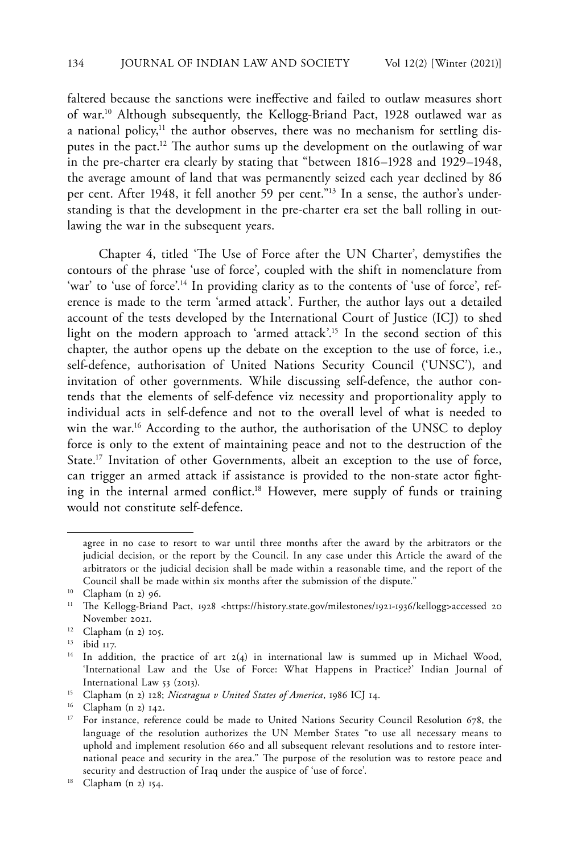faltered because the sanctions were ineffective and failed to outlaw measures short of war.10 Although subsequently, the Kellogg-Briand Pact, 1928 outlawed war as a national policy, $11$  the author observes, there was no mechanism for settling disputes in the pact.<sup>12</sup> The author sums up the development on the outlawing of war in the pre-charter era clearly by stating that "between 1816–1928 and 1929–1948, the average amount of land that was permanently seized each year declined by 86 per cent. After 1948, it fell another 59 per cent."<sup>13</sup> In a sense, the author's understanding is that the development in the pre-charter era set the ball rolling in outlawing the war in the subsequent years.

Chapter 4, titled 'The Use of Force after the UN Charter', demystifies the contours of the phrase 'use of force', coupled with the shift in nomenclature from 'war' to 'use of force'.<sup>14</sup> In providing clarity as to the contents of 'use of force', reference is made to the term 'armed attack'. Further, the author lays out a detailed account of the tests developed by the International Court of Justice (ICJ) to shed light on the modern approach to 'armed attack'.<sup>15</sup> In the second section of this chapter, the author opens up the debate on the exception to the use of force, i.e., self-defence, authorisation of United Nations Security Council ('UNSC'), and invitation of other governments. While discussing self-defence, the author contends that the elements of self-defence viz necessity and proportionality apply to individual acts in self-defence and not to the overall level of what is needed to win the war.<sup>16</sup> According to the author, the authorisation of the UNSC to deploy force is only to the extent of maintaining peace and not to the destruction of the State.<sup>17</sup> Invitation of other Governments, albeit an exception to the use of force, can trigger an armed attack if assistance is provided to the non-state actor fighting in the internal armed conflict.18 However, mere supply of funds or training would not constitute self-defence.

agree in no case to resort to war until three months after the award by the arbitrators or the judicial decision, or the report by the Council. In any case under this Article the award of the arbitrators or the judicial decision shall be made within a reasonable time, and the report of the Council shall be made within six months after the submission of the dispute."

<sup>10</sup> Clapham (n 2) 96.

<sup>&</sup>lt;sup>11</sup> The Kellogg-Briand Pact, 1928 <https://history.state.gov/milestones/1921-1936/kellogg>accessed 20 November 2021.

<sup>12</sup> Clapham (n 2) 105.

<sup>13</sup> ibid 117.

<sup>&</sup>lt;sup>14</sup> In addition, the practice of art 2(4) in international law is summed up in Michael Wood, 'International Law and the Use of Force: What Happens in Practice?' Indian Journal of International Law 53 (2013).

<sup>15</sup> Clapham (n 2) 128; *Nicaragua v United States of America*, 1986 ICJ 14.

<sup>16</sup> Clapham (n 2) 142.

<sup>&</sup>lt;sup>17</sup> For instance, reference could be made to United Nations Security Council Resolution 678, the language of the resolution authorizes the UN Member States "to use all necessary means to uphold and implement resolution 660 and all subsequent relevant resolutions and to restore international peace and security in the area." The purpose of the resolution was to restore peace and security and destruction of Iraq under the auspice of 'use of force'.

<sup>18</sup> Clapham (n 2) 154.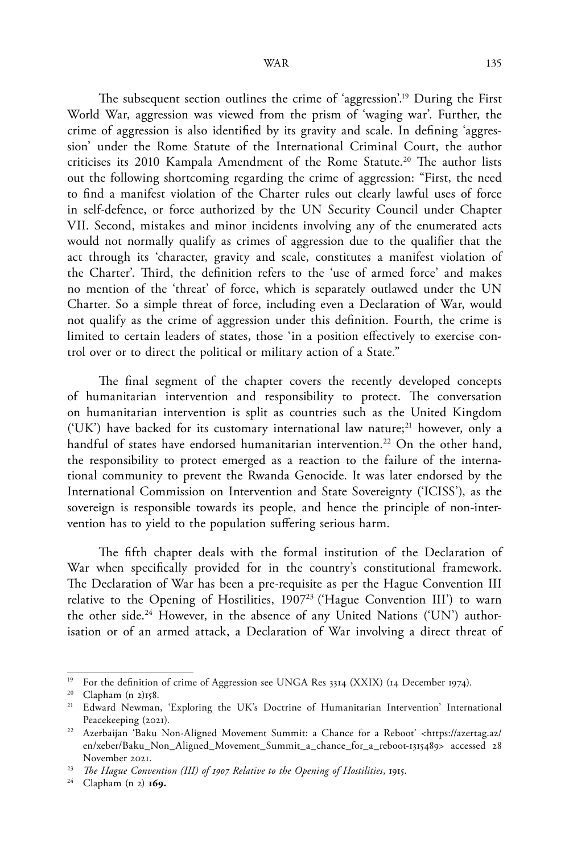The subsequent section outlines the crime of 'aggression'.19 During the First World War, aggression was viewed from the prism of 'waging war'. Further, the crime of aggression is also identified by its gravity and scale. In defining 'aggression' under the Rome Statute of the International Criminal Court, the author criticises its 2010 Kampala Amendment of the Rome Statute.<sup>20</sup> The author lists out the following shortcoming regarding the crime of aggression: "First, the need to find a manifest violation of the Charter rules out clearly lawful uses of force in self-defence, or force authorized by the UN Security Council under Chapter VII. Second, mistakes and minor incidents involving any of the enumerated acts would not normally qualify as crimes of aggression due to the qualifier that the act through its 'character, gravity and scale, constitutes a manifest violation of the Charter'. Third, the definition refers to the 'use of armed force' and makes no mention of the 'threat' of force, which is separately outlawed under the UN Charter. So a simple threat of force, including even a Declaration of War, would not qualify as the crime of aggression under this definition. Fourth, the crime is limited to certain leaders of states, those 'in a position effectively to exercise control over or to direct the political or military action of a State."

The final segment of the chapter covers the recently developed concepts of humanitarian intervention and responsibility to protect. The conversation on humanitarian intervention is split as countries such as the United Kingdom ('UK') have backed for its customary international law nature;<sup>21</sup> however, only a handful of states have endorsed humanitarian intervention.<sup>22</sup> On the other hand, the responsibility to protect emerged as a reaction to the failure of the international community to prevent the Rwanda Genocide. It was later endorsed by the International Commission on Intervention and State Sovereignty ('ICISS'), as the sovereign is responsible towards its people, and hence the principle of non-intervention has to yield to the population suffering serious harm.

The fifth chapter deals with the formal institution of the Declaration of War when specifically provided for in the country's constitutional framework. The Declaration of War has been a pre-requisite as per the Hague Convention III relative to the Opening of Hostilities, 1907<sup>23</sup> ('Hague Convention III') to warn the other side.<sup>24</sup> However, in the absence of any United Nations ('UN') authorisation or of an armed attack, a Declaration of War involving a direct threat of

<sup>24</sup> Clapham (n 2) **169.**

<sup>&</sup>lt;sup>19</sup> For the definition of crime of Aggression see UNGA Res 3314 (XXIX) (14 December 1974).

<sup>20</sup> Clapham (n 2)158.

<sup>21</sup> Edward Newman, 'Exploring the UK's Doctrine of Humanitarian Intervention' International Peacekeeping (2021).

<sup>22</sup> Azerbaijan 'Baku Non-Aligned Movement Summit: a Chance for a Reboot' <https://azertag.az/ en/xeber/Baku\_Non\_Aligned\_Movement\_Summit\_a\_chance\_for\_a\_reboot-1315489> accessed 28 November 2021.

<sup>23</sup> *The Hague Convention (III) of 1907 Relative to the Opening of Hostilities*, 1915.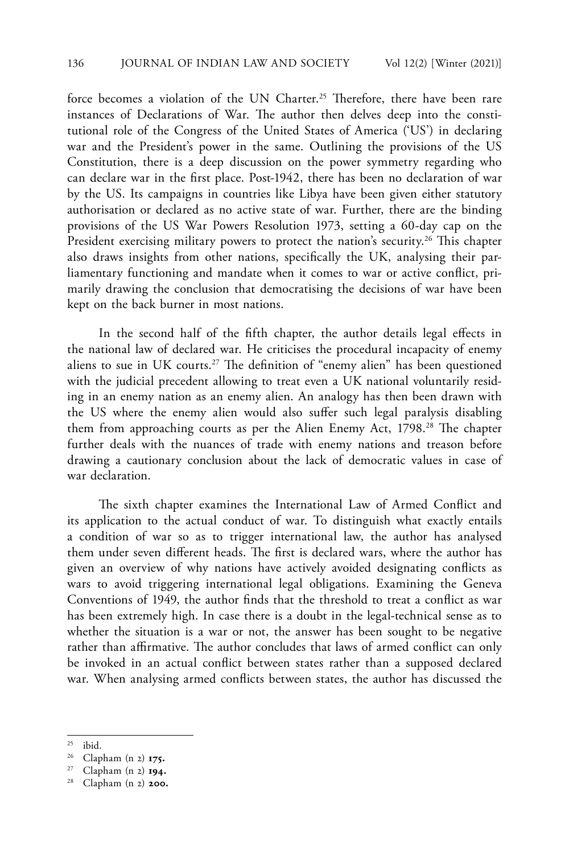force becomes a violation of the UN Charter.<sup>25</sup> Therefore, there have been rare instances of Declarations of War. The author then delves deep into the constitutional role of the Congress of the United States of America ('US') in declaring war and the President's power in the same. Outlining the provisions of the US Constitution, there is a deep discussion on the power symmetry regarding who can declare war in the first place. Post-1942, there has been no declaration of war by the US. Its campaigns in countries like Libya have been given either statutory authorisation or declared as no active state of war. Further, there are the binding provisions of the US War Powers Resolution 1973, setting a 60-day cap on the President exercising military powers to protect the nation's security.<sup>26</sup> This chapter also draws insights from other nations, specifically the UK, analysing their parliamentary functioning and mandate when it comes to war or active conflict, primarily drawing the conclusion that democratising the decisions of war have been kept on the back burner in most nations.

In the second half of the fifth chapter, the author details legal effects in the national law of declared war. He criticises the procedural incapacity of enemy aliens to sue in UK courts.<sup>27</sup> The definition of "enemy alien" has been questioned with the judicial precedent allowing to treat even a UK national voluntarily residing in an enemy nation as an enemy alien. An analogy has then been drawn with the US where the enemy alien would also suffer such legal paralysis disabling them from approaching courts as per the Alien Enemy Act, 1798.<sup>28</sup> The chapter further deals with the nuances of trade with enemy nations and treason before drawing a cautionary conclusion about the lack of democratic values in case of war declaration.

The sixth chapter examines the International Law of Armed Conflict and its application to the actual conduct of war. To distinguish what exactly entails a condition of war so as to trigger international law, the author has analysed them under seven different heads. The first is declared wars, where the author has given an overview of why nations have actively avoided designating conflicts as wars to avoid triggering international legal obligations. Examining the Geneva Conventions of 1949, the author finds that the threshold to treat a conflict as war has been extremely high. In case there is a doubt in the legal-technical sense as to whether the situation is a war or not, the answer has been sought to be negative rather than affirmative. The author concludes that laws of armed conflict can only be invoked in an actual conflict between states rather than a supposed declared war. When analysing armed conflicts between states, the author has discussed the

<sup>25</sup> ibid.

<sup>26</sup> Clapham (n 2) **175.**

<sup>27</sup> Clapham (n 2) **194.**

Clapham (n 2) **200.**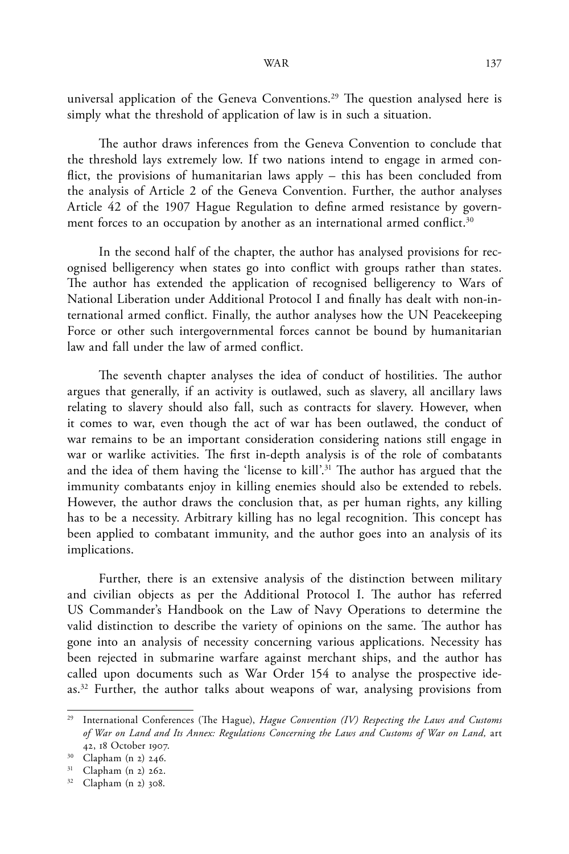universal application of the Geneva Conventions.<sup>29</sup> The question analysed here is simply what the threshold of application of law is in such a situation.

The author draws inferences from the Geneva Convention to conclude that the threshold lays extremely low. If two nations intend to engage in armed conflict, the provisions of humanitarian laws apply – this has been concluded from the analysis of Article 2 of the Geneva Convention. Further, the author analyses Article 42 of the 1907 Hague Regulation to define armed resistance by government forces to an occupation by another as an international armed conflict.<sup>30</sup>

In the second half of the chapter, the author has analysed provisions for recognised belligerency when states go into conflict with groups rather than states. The author has extended the application of recognised belligerency to Wars of National Liberation under Additional Protocol I and finally has dealt with non-international armed conflict. Finally, the author analyses how the UN Peacekeeping Force or other such intergovernmental forces cannot be bound by humanitarian law and fall under the law of armed conflict.

The seventh chapter analyses the idea of conduct of hostilities. The author argues that generally, if an activity is outlawed, such as slavery, all ancillary laws relating to slavery should also fall, such as contracts for slavery. However, when it comes to war, even though the act of war has been outlawed, the conduct of war remains to be an important consideration considering nations still engage in war or warlike activities. The first in-depth analysis is of the role of combatants and the idea of them having the 'license to kill'.<sup>31</sup> The author has argued that the immunity combatants enjoy in killing enemies should also be extended to rebels. However, the author draws the conclusion that, as per human rights, any killing has to be a necessity. Arbitrary killing has no legal recognition. This concept has been applied to combatant immunity, and the author goes into an analysis of its implications.

Further, there is an extensive analysis of the distinction between military and civilian objects as per the Additional Protocol I. The author has referred US Commander's Handbook on the Law of Navy Operations to determine the valid distinction to describe the variety of opinions on the same. The author has gone into an analysis of necessity concerning various applications. Necessity has been rejected in submarine warfare against merchant ships, and the author has called upon documents such as War Order 154 to analyse the prospective ideas.<sup>32</sup> Further, the author talks about weapons of war, analysing provisions from

<sup>&</sup>lt;sup>29</sup> International Conferences (The Hague), *Hague Convention (IV) Respecting the Laws and Customs of War on Land and Its Annex: Regulations Concerning the Laws and Customs of War on Land,* art 42, 18 October 1907.

 $30$  Clapham (n 2) 246.

 $31$  Clapham (n 2) 262.

<sup>32</sup> Clapham (n 2) 308.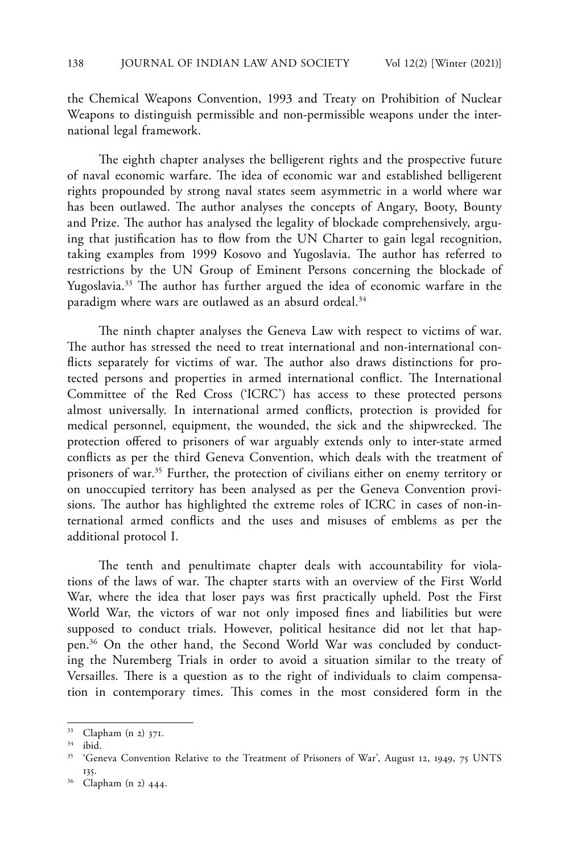the Chemical Weapons Convention, 1993 and Treaty on Prohibition of Nuclear Weapons to distinguish permissible and non-permissible weapons under the international legal framework.

The eighth chapter analyses the belligerent rights and the prospective future of naval economic warfare. The idea of economic war and established belligerent rights propounded by strong naval states seem asymmetric in a world where war has been outlawed. The author analyses the concepts of Angary, Booty, Bounty and Prize. The author has analysed the legality of blockade comprehensively, arguing that justification has to flow from the UN Charter to gain legal recognition, taking examples from 1999 Kosovo and Yugoslavia. The author has referred to restrictions by the UN Group of Eminent Persons concerning the blockade of Yugoslavia.33 The author has further argued the idea of economic warfare in the paradigm where wars are outlawed as an absurd ordeal.<sup>34</sup>

The ninth chapter analyses the Geneva Law with respect to victims of war. The author has stressed the need to treat international and non-international conflicts separately for victims of war. The author also draws distinctions for protected persons and properties in armed international conflict. The International Committee of the Red Cross ('ICRC') has access to these protected persons almost universally. In international armed conflicts, protection is provided for medical personnel, equipment, the wounded, the sick and the shipwrecked. The protection offered to prisoners of war arguably extends only to inter-state armed conflicts as per the third Geneva Convention, which deals with the treatment of prisoners of war.<sup>35</sup> Further, the protection of civilians either on enemy territory or on unoccupied territory has been analysed as per the Geneva Convention provisions. The author has highlighted the extreme roles of ICRC in cases of non-international armed conflicts and the uses and misuses of emblems as per the additional protocol I.

The tenth and penultimate chapter deals with accountability for violations of the laws of war. The chapter starts with an overview of the First World War, where the idea that loser pays was first practically upheld. Post the First World War, the victors of war not only imposed fines and liabilities but were supposed to conduct trials. However, political hesitance did not let that happen.36 On the other hand, the Second World War was concluded by conducting the Nuremberg Trials in order to avoid a situation similar to the treaty of Versailles. There is a question as to the right of individuals to claim compensation in contemporary times. This comes in the most considered form in the

 $^{33}$  Clapham (n 2) 371.

ibid.

<sup>&</sup>lt;sup>35</sup> 'Geneva Convention Relative to the Treatment of Prisoners of War', August 12, 1949, 75 UNTS 135.

Clapham (n 2) 444.